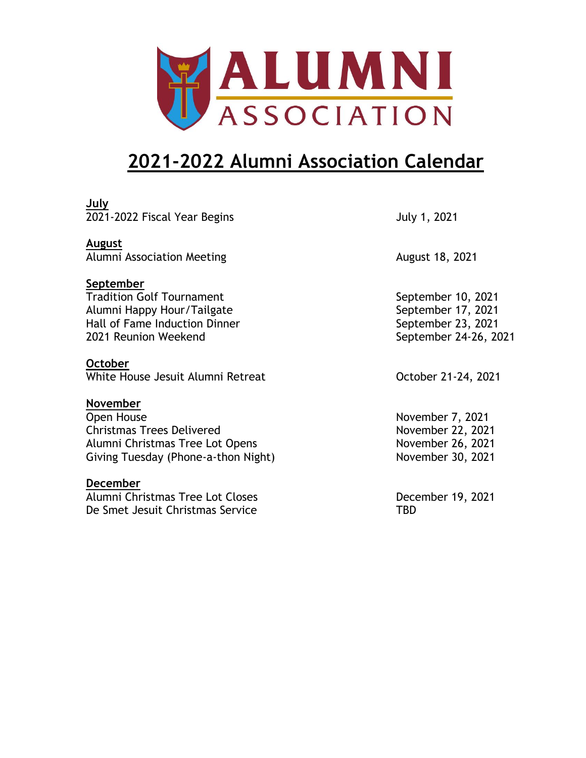

## **2021-2022 Alumni Association Calendar**

| <u>July</u>                         |                       |
|-------------------------------------|-----------------------|
| 2021-2022 Fiscal Year Begins        | July 1, 2021          |
| <b>August</b>                       |                       |
| Alumni Association Meeting          | August 18, 2021       |
| September                           |                       |
| <b>Tradition Golf Tournament</b>    | September 10, 2021    |
| Alumni Happy Hour/Tailgate          | September 17, 2021    |
| Hall of Fame Induction Dinner       | September 23, 2021    |
| 2021 Reunion Weekend                | September 24-26, 2021 |
| <b>October</b>                      |                       |
| White House Jesuit Alumni Retreat   | October 21-24, 2021   |
| November                            |                       |
| Open House                          | November 7, 2021      |
| <b>Christmas Trees Delivered</b>    | November 22, 2021     |
| Alumni Christmas Tree Lot Opens     | November 26, 2021     |
| Giving Tuesday (Phone-a-thon Night) | November 30, 2021     |
| <u>December</u>                     |                       |
| Alumni Christmas Tree Lot Closes    | December 19, 2021     |

De Smet Jesuit Christmas Service TBD